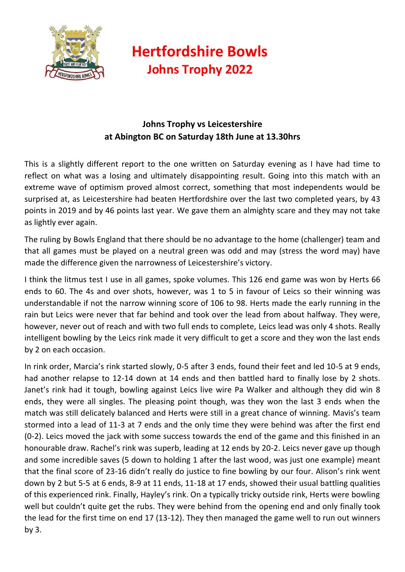

## **Hertfordshire Bowls Johns Trophy 2022**

## **Johns Trophy vs Leicestershire at Abington BC on Saturday 18th June at 13.30hrs**

This is a slightly different report to the one written on Saturday evening as I have had time to reflect on what was a losing and ultimately disappointing result. Going into this match with an extreme wave of optimism proved almost correct, something that most independents would be surprised at, as Leicestershire had beaten Hertfordshire over the last two completed years, by 43 points in 2019 and by 46 points last year. We gave them an almighty scare and they may not take as lightly ever again.

The ruling by Bowls England that there should be no advantage to the home (challenger) team and that all games must be played on a neutral green was odd and may (stress the word may) have made the difference given the narrowness of Leicestershire's victory.

I think the litmus test I use in all games, spoke volumes. This 126 end game was won by Herts 66 ends to 60. The 4s and over shots, however, was 1 to 5 in favour of Leics so their winning was understandable if not the narrow winning score of 106 to 98. Herts made the early running in the rain but Leics were never that far behind and took over the lead from about halfway. They were, however, never out of reach and with two full ends to complete, Leics lead was only 4 shots. Really intelligent bowling by the Leics rink made it very difficult to get a score and they won the last ends by 2 on each occasion.

In rink order, Marcia's rink started slowly, 0-5 after 3 ends, found their feet and led 10-5 at 9 ends, had another relapse to 12-14 down at 14 ends and then battled hard to finally lose by 2 shots. Janet's rink had it tough, bowling against Leics live wire Pa Walker and although they did win 8 ends, they were all singles. The pleasing point though, was they won the last 3 ends when the match was still delicately balanced and Herts were still in a great chance of winning. Mavis's team stormed into a lead of 11-3 at 7 ends and the only time they were behind was after the first end (0-2). Leics moved the jack with some success towards the end of the game and this finished in an honourable draw. Rachel's rink was superb, leading at 12 ends by 20-2. Leics never gave up though and some incredible saves (5 down to holding 1 after the last wood, was just one example) meant that the final score of 23-16 didn't really do justice to fine bowling by our four. Alison's rink went down by 2 but 5-5 at 6 ends, 8-9 at 11 ends, 11-18 at 17 ends, showed their usual battling qualities of this experienced rink. Finally, Hayley's rink. On a typically tricky outside rink, Herts were bowling well but couldn't quite get the rubs. They were behind from the opening end and only finally took the lead for the first time on end 17 (13-12). They then managed the game well to run out winners by 3.